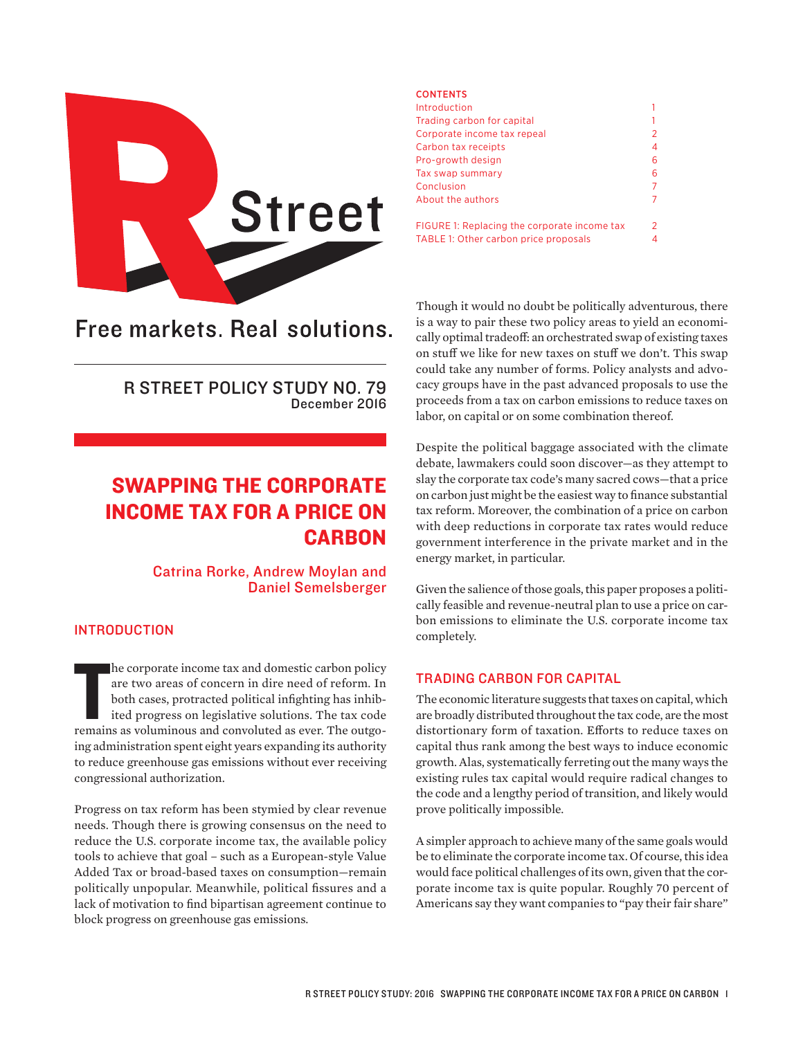

# Free markets. Real solutions.

R STREET POLICY STUDY NO. 79 December 2016

## SWAPPING THE CORPORATE INCOME TAX FOR A PRICE ON **CARBON**

Catrina Rorke, Andrew Moylan and Daniel Semelsberger

## INTRODUCTION

he corporate income tax and domestic carbon policy<br>are two areas of concern in dire need of reform. In<br>both cases, protracted political infighting has inhib-<br>ited progress on legislative solutions. The tax code<br>remains as he corporate income tax and domestic carbon policy are two areas of concern in dire need of reform. In both cases, protracted political infighting has inhibited progress on legislative solutions. The tax code ing administration spent eight years expanding its authority to reduce greenhouse gas emissions without ever receiving congressional authorization.

Progress on tax reform has been stymied by clear revenue needs. Though there is growing consensus on the need to reduce the U.S. corporate income tax, the available policy tools to achieve that goal – such as a European-style Value Added Tax or broad-based taxes on consumption—remain politically unpopular. Meanwhile, political fissures and a lack of motivation to find bipartisan agreement continue to block progress on greenhouse gas emissions.

#### **CONTENTS**

| Introduction                                 |   |
|----------------------------------------------|---|
| Trading carbon for capital                   |   |
| Corporate income tax repeal                  | 2 |
| Carbon tax receipts                          | 4 |
| Pro-growth design                            | 6 |
| Tax swap summary                             | 6 |
| Conclusion                                   | 7 |
| About the authors                            | 7 |
| FIGURE 1: Replacing the corporate income tax | 2 |
| TABLE 1: Other carbon price proposals        | 4 |

Though it would no doubt be politically adventurous, there is a way to pair these two policy areas to yield an economically optimal tradeoff: an orchestrated swap of existing taxes on stuff we like for new taxes on stuff we don't. This swap could take any number of forms. Policy analysts and advocacy groups have in the past advanced proposals to use the proceeds from a tax on carbon emissions to reduce taxes on labor, on capital or on some combination thereof.

Despite the political baggage associated with the climate debate, lawmakers could soon discover—as they attempt to slay the corporate tax code's many sacred cows—that a price on carbon just might be the easiest way to finance substantial tax reform. Moreover, the combination of a price on carbon with deep reductions in corporate tax rates would reduce government interference in the private market and in the energy market, in particular.

Given the salience of those goals, this paper proposes a politically feasible and revenue-neutral plan to use a price on carbon emissions to eliminate the U.S. corporate income tax completely.

## TRADING CARBON FOR CAPITAL

The economic literature suggests that taxes on capital, which are broadly distributed throughout the tax code, are the most distortionary form of taxation. Efforts to reduce taxes on capital thus rank among the best ways to induce economic growth. Alas, systematically ferreting out the many ways the existing rules tax capital would require radical changes to the code and a lengthy period of transition, and likely would prove politically impossible.

A simpler approach to achieve many of the same goals would be to eliminate the corporate income tax. Of course, this idea would face political challenges of its own, given that the corporate income tax is quite popular. Roughly 70 percent of Americans say they want companies to "pay their fair share"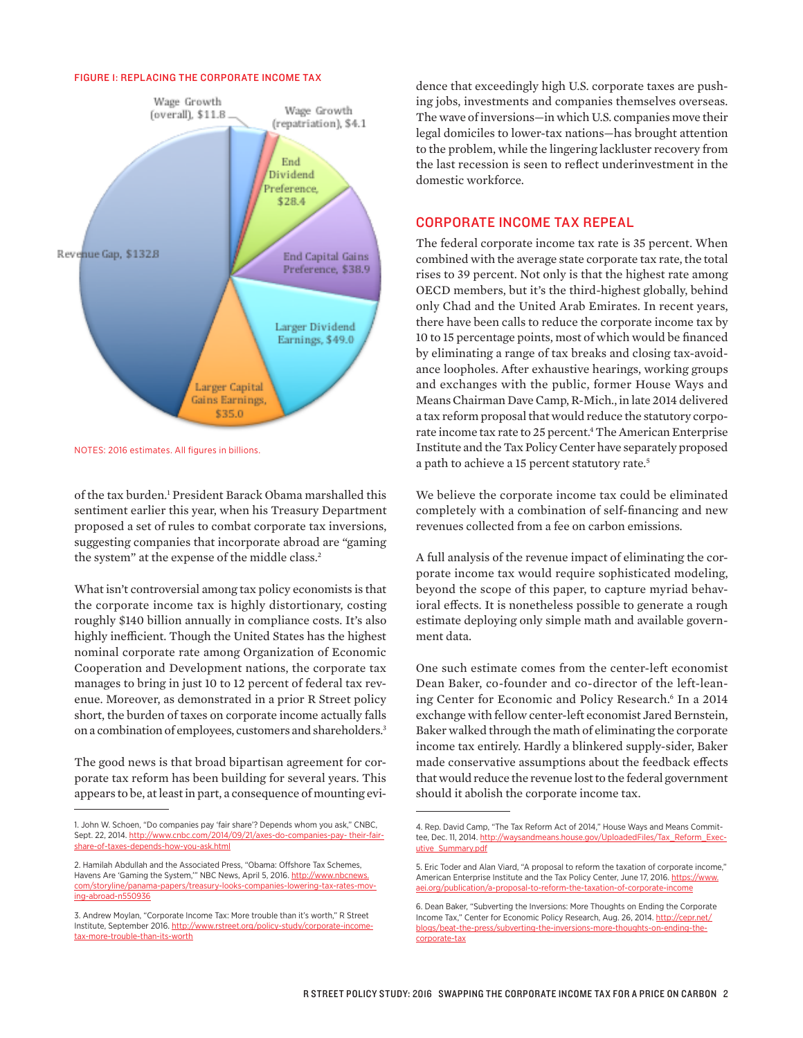#### FIGURE 1: REPLACING THE CORPORATE INCOME TAX



NOTES: 2016 estimates. All figures in billions.

of the tax burden.<sup>1</sup> President Barack Obama marshalled this sentiment earlier this year, when his Treasury Department proposed a set of rules to combat corporate tax inversions, suggesting companies that incorporate abroad are "gaming the system" at the expense of the middle class.<sup>2</sup>

What isn't controversial among tax policy economists is that the corporate income tax is highly distortionary, costing roughly \$140 billion annually in compliance costs. It's also highly inefficient. Though the United States has the highest nominal corporate rate among Organization of Economic Cooperation and Development nations, the corporate tax manages to bring in just 10 to 12 percent of federal tax revenue. Moreover, as demonstrated in a prior R Street policy short, the burden of taxes on corporate income actually falls on a combination of employees, customers and shareholders.3

The good news is that broad bipartisan agreement for corporate tax reform has been building for several years. This appears to be, at least in part, a consequence of mounting evi-

dence that exceedingly high U.S. corporate taxes are pushing jobs, investments and companies themselves overseas. The wave of inversions—in which U.S. companies move their legal domiciles to lower-tax nations—has brought attention to the problem, while the lingering lackluster recovery from the last recession is seen to reflect underinvestment in the domestic workforce.

## CORPORATE INCOME TAX REPEAL

The federal corporate income tax rate is 35 percent. When combined with the average state corporate tax rate, the total rises to 39 percent. Not only is that the highest rate among OECD members, but it's the third-highest globally, behind only Chad and the United Arab Emirates. In recent years, there have been calls to reduce the corporate income tax by 10 to 15 percentage points, most of which would be financed by eliminating a range of tax breaks and closing tax-avoidance loopholes. After exhaustive hearings, working groups and exchanges with the public, former House Ways and Means Chairman Dave Camp, R-Mich., in late 2014 delivered a tax reform proposal that would reduce the statutory corporate income tax rate to 25 percent.<sup>4</sup> The American Enterprise Institute and the Tax Policy Center have separately proposed a path to achieve a 15 percent statutory rate.<sup>5</sup>

We believe the corporate income tax could be eliminated completely with a combination of self-financing and new revenues collected from a fee on carbon emissions.

A full analysis of the revenue impact of eliminating the corporate income tax would require sophisticated modeling, beyond the scope of this paper, to capture myriad behavioral effects. It is nonetheless possible to generate a rough estimate deploying only simple math and available government data.

One such estimate comes from the center-left economist Dean Baker, co-founder and co-director of the left-leaning Center for Economic and Policy Research.6 In a 2014 exchange with fellow center-left economist Jared Bernstein, Baker walked through the math of eliminating the corporate income tax entirely. Hardly a blinkered supply-sider, Baker made conservative assumptions about the feedback effects that would reduce the revenue lost to the federal government should it abolish the corporate income tax.

<sup>1.</sup> John W. Schoen, "Do companies pay 'fair share'? Depends whom you ask," CNBC, Sept. 22, 2014. [http://www.cnbc.com/2014/09/21/axes-do-companies-pay- their-fair](http://www.cnbc.com/2014/09/21/axes-do-companies-pay-%20their-fair-share-of-taxes-depends-how-you-ask.html)[share-of-taxes-depends-how-you-ask.html](http://www.cnbc.com/2014/09/21/axes-do-companies-pay-%20their-fair-share-of-taxes-depends-how-you-ask.html)

<sup>2.</sup> Hamilah Abdullah and the Associated Press, "Obama: Offshore Tax Schemes, Havens Are 'Gaming the System," NBC News, April 5, 2016. [http://www.nbcnews.](http://www.nbcnews.com/storyline/panama-papers/treasury-looks-companies-lowering-tax-rates-moving-abroad-n550936) [com/storyline/panama-papers/treasury-looks-companies-lowering-tax-rates-mov](http://www.nbcnews.com/storyline/panama-papers/treasury-looks-companies-lowering-tax-rates-moving-abroad-n550936)[ing-abroad-n550936](http://www.nbcnews.com/storyline/panama-papers/treasury-looks-companies-lowering-tax-rates-moving-abroad-n550936)

<sup>3.</sup> Andrew Moylan, "Corporate Income Tax: More trouble than it's worth," R Street Institute, September 2016. [http://www.rstreet.org/policy-study/corporate-income](http://www.rstreet.org/policy-study/corporate-income-tax-more-trouble-than-its-worth)[tax-more-trouble-than-its-worth](http://www.rstreet.org/policy-study/corporate-income-tax-more-trouble-than-its-worth)

<sup>4.</sup> Rep. David Camp, "The Tax Reform Act of 2014," House Ways and Means Committee, Dec. 11, 2014. [http://waysandmeans.house.gov/UploadedFiles/Tax\\_Reform\\_Exec](http://waysandmeans.house.gov/UploadedFiles/Tax_Reform_Executive_Summary.pdf)[utive\\_Summary.pdf](http://waysandmeans.house.gov/UploadedFiles/Tax_Reform_Executive_Summary.pdf)

<sup>5.</sup> Eric Toder and Alan Viard, "A proposal to reform the taxation of corporate income," American Enterprise Institute and the Tax Policy Center, June 17, 2016. [https://www.](https://www.aei.org/publication/a-proposal-to-reform-the-taxation-of-corporate-income) [aei.org/publication/a-proposal-to-reform-the-taxation-of-corporate-income](https://www.aei.org/publication/a-proposal-to-reform-the-taxation-of-corporate-income)

<sup>6.</sup> Dean Baker, "Subverting the Inversions: More Thoughts on Ending the Corporate Income Tax," Center for Economic Policy Research, Aug. 26, 2014. [http://cepr.net/](http://cepr.net/blogs/beat-the-press/subverting-the-inversions-more-thoughts-on-ending-the-corporate-tax) [blogs/beat-the-press/subverting-the-inversions-more-thoughts-on-ending-the](http://cepr.net/blogs/beat-the-press/subverting-the-inversions-more-thoughts-on-ending-the-corporate-tax)[corporate-tax](http://cepr.net/blogs/beat-the-press/subverting-the-inversions-more-thoughts-on-ending-the-corporate-tax)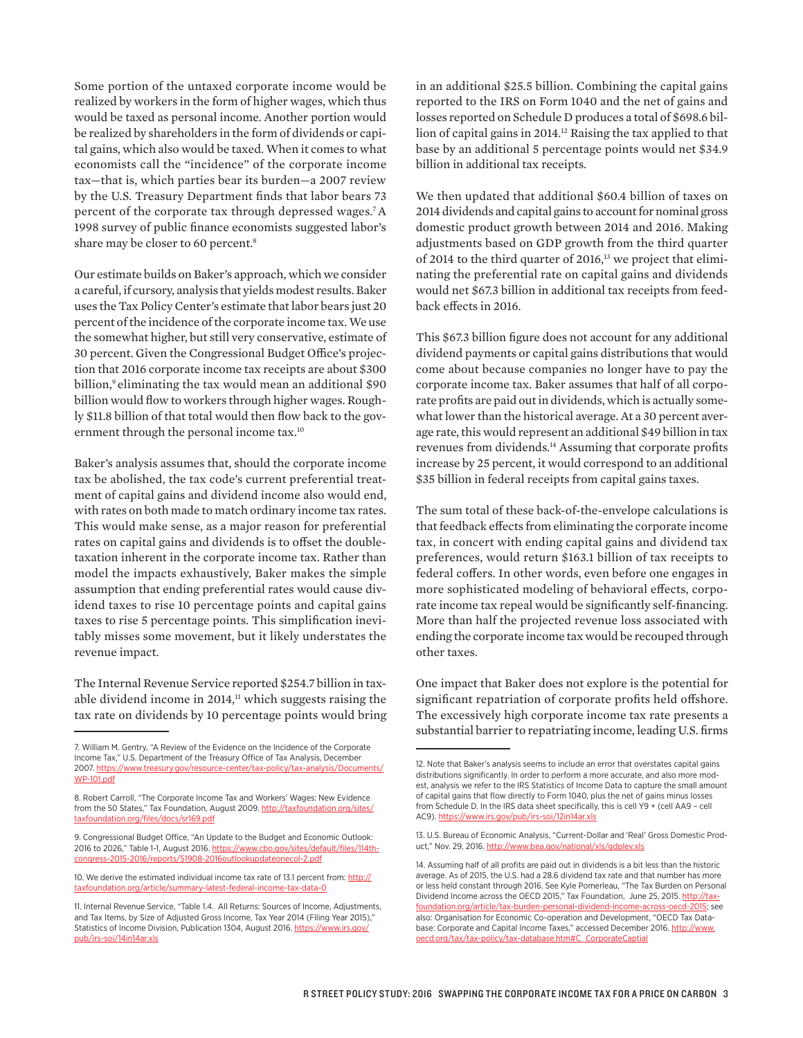Some portion of the untaxed corporate income would be realized by workers in the form of higher wages, which thus would be taxed as personal income. Another portion would be realized by shareholders in the form of dividends or capital gains, which also would be taxed. When it comes to what economists call the "incidence" of the corporate income tax—that is, which parties bear its burden—a 2007 review by the U.S. Treasury Department finds that labor bears 73 percent of the corporate tax through depressed wages.7A 1998 survey of public finance economists suggested labor's share may be closer to 60 percent.8

Our estimate builds on Baker's approach, which we consider a careful, if cursory, analysis that yields modest results. Baker uses the Tax Policy Center's estimate that labor bears just 20 percent of the incidence of the corporate income tax. We use the somewhat higher, but still very conservative, estimate of 30 percent. Given the Congressional Budget Office's projection that 2016 corporate income tax receipts are about \$300 billion,<sup>9</sup> eliminating the tax would mean an additional \$90 billion would flow to workers through higher wages. Roughly \$11.8 billion of that total would then flow back to the government through the personal income tax.<sup>10</sup>

Baker's analysis assumes that, should the corporate income tax be abolished, the tax code's current preferential treatment of capital gains and dividend income also would end, with rates on both made to match ordinary income tax rates. This would make sense, as a major reason for preferential rates on capital gains and dividends is to offset the doubletaxation inherent in the corporate income tax. Rather than model the impacts exhaustively, Baker makes the simple assumption that ending preferential rates would cause dividend taxes to rise 10 percentage points and capital gains taxes to rise 5 percentage points. This simplification inevitably misses some movement, but it likely understates the revenue impact.

The Internal Revenue Service reported \$254.7 billion in taxable dividend income in 2014,<sup>11</sup> which suggests raising the tax rate on dividends by 10 percentage points would bring

in an additional \$25.5 billion. Combining the capital gains reported to the IRS on Form 1040 and the net of gains and losses reported on Schedule D produces a total of \$698.6 billion of capital gains in 2014.12 Raising the tax applied to that base by an additional 5 percentage points would net \$34.9 billion in additional tax receipts.

We then updated that additional \$60.4 billion of taxes on 2014 dividends and capital gains to account for nominal gross domestic product growth between 2014 and 2016. Making adjustments based on GDP growth from the third quarter of 2014 to the third quarter of 2016,<sup>13</sup> we project that eliminating the preferential rate on capital gains and dividends would net \$67.3 billion in additional tax receipts from feedback effects in 2016.

This \$67.3 billion figure does not account for any additional dividend payments or capital gains distributions that would come about because companies no longer have to pay the corporate income tax. Baker assumes that half of all corporate profits are paid out in dividends, which is actually somewhat lower than the historical average. At a 30 percent average rate, this would represent an additional \$49 billion in tax revenues from dividends.<sup>14</sup> Assuming that corporate profits increase by 25 percent, it would correspond to an additional \$35 billion in federal receipts from capital gains taxes.

The sum total of these back-of-the-envelope calculations is that feedback effects from eliminating the corporate income tax, in concert with ending capital gains and dividend tax preferences, would return \$163.1 billion of tax receipts to federal coffers. In other words, even before one engages in more sophisticated modeling of behavioral effects, corporate income tax repeal would be significantly self-financing. More than half the projected revenue loss associated with ending the corporate income tax would be recouped through other taxes.

One impact that Baker does not explore is the potential for significant repatriation of corporate profits held offshore. The excessively high corporate income tax rate presents a substantial barrier to repatriating income, leading U.S. firms

<sup>7.</sup> William M. Gentry, "A Review of the Evidence on the Incidence of the Corporate Income Tax," U.S. Department of the Treasury Office of Tax Analysis, December 2007. [https://www.treasury.gov/resource-center/tax-policy/tax-analysis/Documents/](https://www.treasury.gov/resource-center/tax-policy/tax-analysis/Documents/WP-101.pdf) [WP-101.pdf](https://www.treasury.gov/resource-center/tax-policy/tax-analysis/Documents/WP-101.pdf)

<sup>8.</sup> Robert Carroll, "The Corporate Income Tax and Workers' Wages: New Evidence from the 50 States," Tax Foundation, August 2009. [http://taxfoundation.org/sites/](http://taxfoundation.org/sites/taxfoundation.org/files/docs/sr169.pdf) [taxfoundation.org/files/docs/sr169.pdf](http://taxfoundation.org/sites/taxfoundation.org/files/docs/sr169.pdf)

<sup>9.</sup> Congressional Budget Office, "An Update to the Budget and Economic Outlook: 2016 to 2026," Table 1-1, August 2016. [https://www.cbo.gov/sites/default/files/114th](https://www.cbo.gov/sites/default/files/114th-congress-2015-2016/reports/51908-2016outlookupdateonecol-2.pdf)[congress-2015-2016/reports/51908-2016outlookupdateonecol-2.pdf](https://www.cbo.gov/sites/default/files/114th-congress-2015-2016/reports/51908-2016outlookupdateonecol-2.pdf)

<sup>10.</sup> We derive the estimated individual income tax rate of 13.1 percent from: [http://](http://taxfoundation.org/article/summary-latest-federal-income-tax-data-0) taxfoundation.org/article/summary-latest-federal-income

<sup>11.</sup> Internal Revenue Service, "Table 1.4. All Returns: Sources of Income, Adjustments, and Tax Items, by Size of Adjusted Gross Income, Tax Year 2014 (Filing Year 2015)," Statistics of Income Division, Publication 1304, August 2016. [https://www.irs.gov/](https://www.irs.gov/pub/irs-soi/14in14ar.xls) [pub/irs-soi/14in14ar.xls](https://www.irs.gov/pub/irs-soi/14in14ar.xls)

<sup>12.</sup> Note that Baker's analysis seems to include an error that overstates capital gains distributions significantly. In order to perform a more accurate, and also more modest, analysis we refer to the IRS Statistics of Income Data to capture the small amount of capital gains that flow directly to Form 1040, plus the net of gains minus losses from Schedule D. In the IRS data sheet specifically, this is cell Y9 + (cell AA9 – cell AC9). <https://www.irs.gov/pub/irs-soi/12in14ar.xls>

<sup>13.</sup> U.S. Bureau of Economic Analysis, "Current-Dollar and 'Real' Gross Domestic Product," Nov. 29, 2016.<http://www.bea.gov/national/xls/gdplev.xls>

<sup>14.</sup> Assuming half of all profits are paid out in dividends is a bit less than the historic average. As of 2015, the U.S. had a 28.6 dividend tax rate and that number has more or less held constant through 2016. See Kyle Pomerleau, "The Tax Burden on Personal Dividend Income across the OECD 2015," Tax Foundation, June 25, 2015. [http://tax](http://taxfoundation.org/article/tax-burden-personal-dividend-income-across-oecd-2015)[foundation.org/article/tax-burden-personal-dividend-income-across-oecd-2015](http://taxfoundation.org/article/tax-burden-personal-dividend-income-across-oecd-2015); see also: Organisation for Economic Co-operation and Development, "OECD Tax Database: Corporate and Capital Income Taxes," accessed December 2016. http://www. oecd.org/tax/tax-policy/tax-database.htm#C\_CorporateCaptial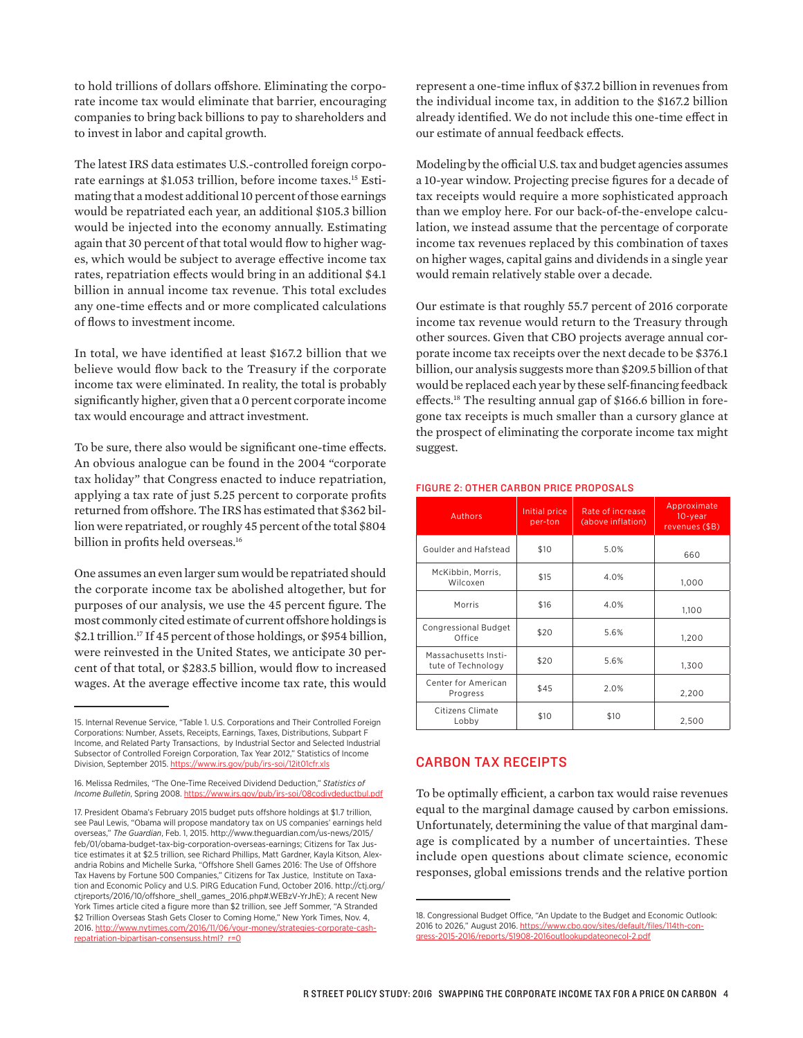to hold trillions of dollars offshore. Eliminating the corporate income tax would eliminate that barrier, encouraging companies to bring back billions to pay to shareholders and to invest in labor and capital growth.

The latest IRS data estimates U.S.-controlled foreign corporate earnings at \$1.053 trillion, before income taxes.<sup>15</sup> Estimating that a modest additional 10 percent of those earnings would be repatriated each year, an additional \$105.3 billion would be injected into the economy annually. Estimating again that 30 percent of that total would flow to higher wages, which would be subject to average effective income tax rates, repatriation effects would bring in an additional \$4.1 billion in annual income tax revenue. This total excludes any one-time effects and or more complicated calculations of flows to investment income.

In total, we have identified at least \$167.2 billion that we believe would flow back to the Treasury if the corporate income tax were eliminated. In reality, the total is probably significantly higher, given that a 0 percent corporate income tax would encourage and attract investment.

To be sure, there also would be significant one-time effects. An obvious analogue can be found in the 2004 "corporate tax holiday" that Congress enacted to induce repatriation, applying a tax rate of just 5.25 percent to corporate profits returned from offshore. The IRS has estimated that \$362 billion were repatriated, or roughly 45 percent of the total \$804 billion in profits held overseas.<sup>16</sup>

One assumes an even larger sum would be repatriated should the corporate income tax be abolished altogether, but for purposes of our analysis, we use the 45 percent figure. The most commonly cited estimate of current offshore holdings is \$2.1 trillion.<sup>17</sup> If 45 percent of those holdings, or \$954 billion, were reinvested in the United States, we anticipate 30 percent of that total, or \$283.5 billion, would flow to increased wages. At the average effective income tax rate, this would represent a one-time influx of \$37.2 billion in revenues from the individual income tax, in addition to the \$167.2 billion already identified. We do not include this one-time effect in our estimate of annual feedback effects.

Modeling by the official U.S. tax and budget agencies assumes a 10-year window. Projecting precise figures for a decade of tax receipts would require a more sophisticated approach than we employ here. For our back-of-the-envelope calculation, we instead assume that the percentage of corporate income tax revenues replaced by this combination of taxes on higher wages, capital gains and dividends in a single year would remain relatively stable over a decade.

Our estimate is that roughly 55.7 percent of 2016 corporate income tax revenue would return to the Treasury through other sources. Given that CBO projects average annual corporate income tax receipts over the next decade to be \$376.1 billion, our analysis suggests more than \$209.5 billion of that would be replaced each year by these self-financing feedback effects.18 The resulting annual gap of \$166.6 billion in foregone tax receipts is much smaller than a cursory glance at the prospect of eliminating the corporate income tax might suggest.

| <b>Authors</b>                             | Initial price<br>per-ton | Rate of increase<br>(above inflation) | Approximate<br>10-year<br>revenues (\$B) |
|--------------------------------------------|--------------------------|---------------------------------------|------------------------------------------|
| Goulder and Hafstead                       | \$10                     | 5.0%                                  | 660                                      |
| McKibbin, Morris,<br>Wilcoxen              | \$15                     | 4.0%                                  | 1,000                                    |
| Morris                                     | \$16                     | 4.0%                                  | 1.100                                    |
| <b>Congressional Budget</b><br>Office      | \$20                     | 5.6%                                  | 1,200                                    |
| Massachusetts Insti-<br>tute of Technology | \$20                     | 5.6%                                  | 1,300                                    |
| Center for American<br>Progress            | \$45                     | 2.0%                                  | 2,200                                    |
| Citizens Climate<br>Lobby                  | \$10                     | \$10                                  | 2,500                                    |

#### FIGURE 2: OTHER CARBON PRICE PROPOSALS

## CARBON TAX RECEIPTS

To be optimally efficient, a carbon tax would raise revenues equal to the marginal damage caused by carbon emissions. Unfortunately, determining the value of that marginal damage is complicated by a number of uncertainties. These include open questions about climate science, economic responses, global emissions trends and the relative portion

<sup>15.</sup> Internal Revenue Service, "Table 1. U.S. Corporations and Their Controlled Foreign Corporations: Number, Assets, Receipts, Earnings, Taxes, Distributions, Subpart F Income, and Related Party Transactions, by Industrial Sector and Selected Industrial Subsector of Controlled Foreign Corporation, Tax Year 2012," Statistics of Income Division, September 2015.<https://www.irs.gov/pub/irs-soi/12it01cfr.xls>

<sup>16.</sup> Melissa Redmiles, "The One-Time Received Dividend Deduction," *Statistics of Income Bulletin*, Spring 2008.<https://www.irs.gov/pub/irs-soi/08codivdeductbul.pdf>

<sup>17.</sup> President Obama's February 2015 budget puts offshore holdings at \$1.7 trillion, see Paul Lewis, "Obama will propose mandatory tax on US companies' earnings held overseas," *The Guardian*, Feb. 1, 2015. [http://www.theguardian.com/us-news/2015/](http://www.theguardian.com/us-news/2015/feb/01/obama-budget-tax-big-corporation-overseas-earnings) [feb/01/obama-budget-tax-big-corporation-overseas-earnings;](http://www.theguardian.com/us-news/2015/feb/01/obama-budget-tax-big-corporation-overseas-earnings) Citizens for Tax Justice estimates it at \$2.5 trillion, see Richard Phillips, Matt Gardner, Kayla Kitson, Alexandria Robins and Michelle Surka, "Offshore Shell Games 2016: The Use of Offshore Tax Havens by Fortune 500 Companies," Citizens for Tax Justice, Institute on Taxation and Economic Policy and U.S. PIRG Education Fund, October 2016. http://ctj.org/ ctjreports/2016/10/offshore\_shell\_games\_2016.php#.WEBzV-YrJhE); A recent New York Times article cited a figure more than \$2 trillion, see Jeff Sommer, "A Stranded \$2 Trillion Overseas Stash Gets Closer to Coming Home," New York Times, Nov. 4, 2016. [http://www.nytimes.com/2016/11/06/your-money/strategies-corporate-cash](http://www.nytimes.com/2016/11/06/your-money/strategies-corporate-cash-repatriation-bipartisan-consensuss.html?_r=0)[repatriation-bipartisan-consensuss.html?\\_r=0](http://www.nytimes.com/2016/11/06/your-money/strategies-corporate-cash-repatriation-bipartisan-consensuss.html?_r=0)

<sup>18.</sup> Congressional Budget Office, "An Update to the Budget and Economic Outlook: 2016 to 2026," August 2016. [https://www.cbo.gov/sites/default/files/114th-con](https://www.cbo.gov/sites/default/files/114th-congress-2015-2016/reports/51908-2016outlookupdateonecol-2.pdf)[gress-2015-2016/reports/51908-2016outlookupdateonecol-2.pdf](https://www.cbo.gov/sites/default/files/114th-congress-2015-2016/reports/51908-2016outlookupdateonecol-2.pdf)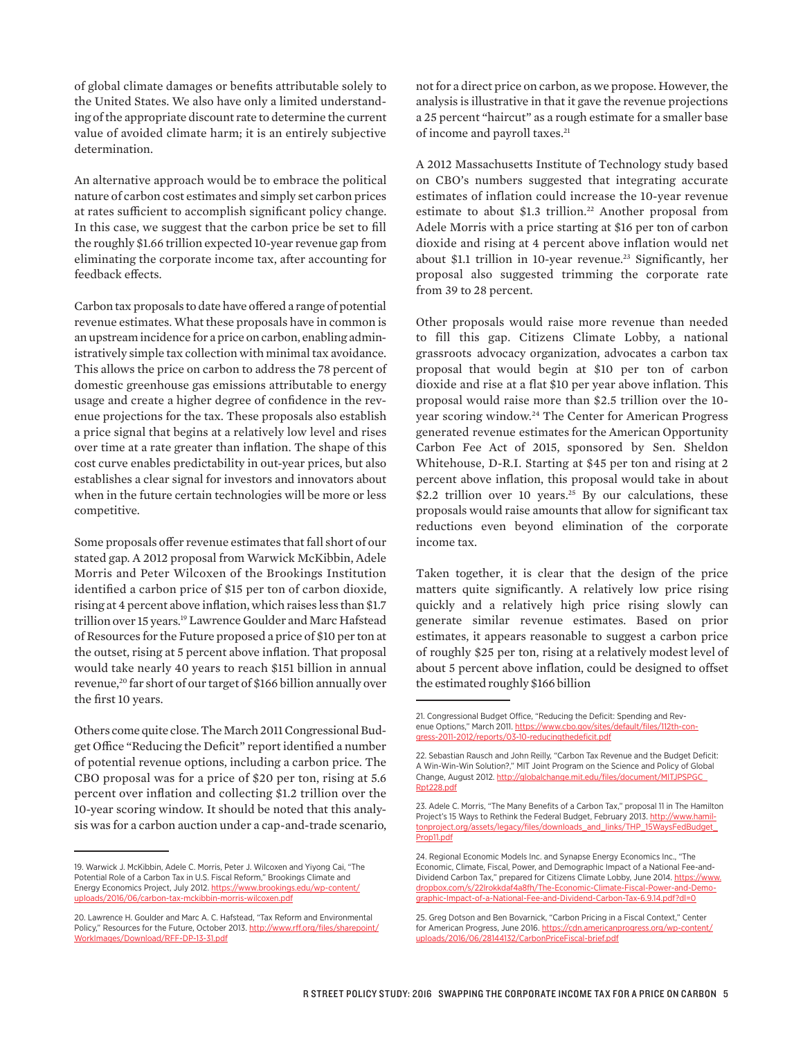of global climate damages or benefits attributable solely to the United States. We also have only a limited understanding of the appropriate discount rate to determine the current value of avoided climate harm; it is an entirely subjective determination.

An alternative approach would be to embrace the political nature of carbon cost estimates and simply set carbon prices at rates sufficient to accomplish significant policy change. In this case, we suggest that the carbon price be set to fill the roughly \$1.66 trillion expected 10-year revenue gap from eliminating the corporate income tax, after accounting for feedback effects.

Carbon tax proposals to date have offered a range of potential revenue estimates. What these proposals have in common is an upstream incidence for a price on carbon, enabling administratively simple tax collection with minimal tax avoidance. This allows the price on carbon to address the 78 percent of domestic greenhouse gas emissions attributable to energy usage and create a higher degree of confidence in the revenue projections for the tax. These proposals also establish a price signal that begins at a relatively low level and rises over time at a rate greater than inflation. The shape of this cost curve enables predictability in out-year prices, but also establishes a clear signal for investors and innovators about when in the future certain technologies will be more or less competitive.

Some proposals offer revenue estimates that fall short of our stated gap. A 2012 proposal from Warwick McKibbin, Adele Morris and Peter Wilcoxen of the Brookings Institution identified a carbon price of \$15 per ton of carbon dioxide, rising at 4 percent above inflation, which raises less than \$1.7 trillion over 15 years.<sup>19</sup> Lawrence Goulder and Marc Hafstead of Resources for the Future proposed a price of \$10 per ton at the outset, rising at 5 percent above inflation. That proposal would take nearly 40 years to reach \$151 billion in annual revenue,<sup>20</sup> far short of our target of \$166 billion annually over the first 10 years.

Others come quite close. The March 2011 Congressional Budget Office "Reducing the Deficit" report identified a number of potential revenue options, including a carbon price. The CBO proposal was for a price of \$20 per ton, rising at 5.6 percent over inflation and collecting \$1.2 trillion over the 10-year scoring window. It should be noted that this analysis was for a carbon auction under a cap-and-trade scenario,

not for a direct price on carbon, as we propose. However, the analysis is illustrative in that it gave the revenue projections a 25 percent "haircut" as a rough estimate for a smaller base of income and payroll taxes.<sup>21</sup>

A 2012 Massachusetts Institute of Technology study based on CBO's numbers suggested that integrating accurate estimates of inflation could increase the 10-year revenue estimate to about \$1.3 trillion.<sup>22</sup> Another proposal from Adele Morris with a price starting at \$16 per ton of carbon dioxide and rising at 4 percent above inflation would net about \$1.1 trillion in 10-year revenue.<sup>23</sup> Significantly, her proposal also suggested trimming the corporate rate from 39 to 28 percent.

Other proposals would raise more revenue than needed to fill this gap. Citizens Climate Lobby, a national grassroots advocacy organization, advocates a carbon tax proposal that would begin at \$10 per ton of carbon dioxide and rise at a flat \$10 per year above inflation. This proposal would raise more than \$2.5 trillion over the 10 year scoring window. <sup>24</sup> The Center for American Progress generated revenue estimates for the American Opportunity Carbon Fee Act of 2015, sponsored by Sen. Sheldon Whitehouse, D-R.I. Starting at \$45 per ton and rising at 2 percent above inflation, this proposal would take in about \$2.2 trillion over 10 years.<sup>25</sup> By our calculations, these proposals would raise amounts that allow for significant tax reductions even beyond elimination of the corporate income tax.

Taken together, it is clear that the design of the price matters quite significantly. A relatively low price rising quickly and a relatively high price rising slowly can generate similar revenue estimates. Based on prior estimates, it appears reasonable to suggest a carbon price of roughly \$25 per ton, rising at a relatively modest level of about 5 percent above inflation, could be designed to offset the estimated roughly \$166 billion

<sup>19.</sup> Warwick J. McKibbin, Adele C. Morris, Peter J. Wilcoxen and Yiyong Cai, "The Potential Role of a Carbon Tax in U.S. Fiscal Reform," Brookings Climate and Energy Economics Project, July 2012. [https://www.brookings.edu/wp-content/](https://www.brookings.edu/wp-content/uploads/2016/06/carbon-tax-mckibbin-morris-wilcoxen.pdf) /2016/06/carbon-tax-mckibbin-morris-wilcoxen.pdf

<sup>20.</sup> Lawrence H. Goulder and Marc A. C. Hafstead, "Tax Reform and Environmental Policy," Resources for the Future, October 2013. [http://www.rff.org/files/sharepoint/](http://www.rff.org/files/sharepoint/WorkImages/Download/RFF-DP-13-31.pdf) [WorkImages/Download/RFF-DP-13-31.pdf](http://www.rff.org/files/sharepoint/WorkImages/Download/RFF-DP-13-31.pdf)

<sup>21.</sup> Congressional Budget Office, "Reducing the Deficit: Spending and Revenue Options," March 2011. [https://www.cbo.gov/sites/default/files/112th-con](https://www.cbo.gov/sites/default/files/112th-congress-2011-2012/reports/03-10-reducingthedeficit.pdf)[gress-2011-2012/reports/03-10-reducingthedeficit.pdf](https://www.cbo.gov/sites/default/files/112th-congress-2011-2012/reports/03-10-reducingthedeficit.pdf)

<sup>22.</sup> Sebastian Rausch and John Reilly, "Carbon Tax Revenue and the Budget Deficit: A Win-Win-Win Solution?," MIT Joint Program on the Science and Policy of Global Change, August 2012. [http://globalchange.mit.edu/files/document/MITJPSPGC\\_](http://globalchange.mit.edu/files/document/MITJPSPGC_Rpt228.pdf) [Rpt228.pdf](http://globalchange.mit.edu/files/document/MITJPSPGC_Rpt228.pdf)

<sup>23.</sup> Adele C. Morris, "The Many Benefits of a Carbon Tax," proposal 11 in The Hamilton Project's 15 Ways to Rethink the Federal Budget, February 2013. [http://www.hamil](http://www.hamiltonproject.org/assets/legacy/files/downloads_and_links/THP_15WaysFedBudget_Prop11.pdf)[tonproject.org/assets/legacy/files/downloads\\_and\\_links/THP\\_15WaysFedBudget\\_](http://www.hamiltonproject.org/assets/legacy/files/downloads_and_links/THP_15WaysFedBudget_Prop11.pdf) [Prop11.pdf](http://www.hamiltonproject.org/assets/legacy/files/downloads_and_links/THP_15WaysFedBudget_Prop11.pdf)

<sup>24.</sup> Regional Economic Models Inc. and Synapse Energy Economics Inc., "The Economic, Climate, Fiscal, Power, and Demographic Impact of a National Fee-andDividend Carbon Tax," prepared for Citizens Climate Lobby, June 2014. [https://www.](https://www.dropbox.com/s/22lrokkdaf4a8fh/The-Economic-Climate-Fiscal-Power-and-Demographic-Impact-of-a-National-Fee-and-Dividend-Carbon-Tax-6.9.14.pdf?dl=0) [dropbox.com/s/22lrokkdaf4a8fh/The-Economic-Climate-Fiscal-Power-and-Demo](https://www.dropbox.com/s/22lrokkdaf4a8fh/The-Economic-Climate-Fiscal-Power-and-Demographic-Impact-of-a-National-Fee-and-Dividend-Carbon-Tax-6.9.14.pdf?dl=0)[graphic-Impact-of-a-National-Fee-and-Dividend-Carbon-Tax-6.9.14.pdf?dl=0](https://www.dropbox.com/s/22lrokkdaf4a8fh/The-Economic-Climate-Fiscal-Power-and-Demographic-Impact-of-a-National-Fee-and-Dividend-Carbon-Tax-6.9.14.pdf?dl=0)

<sup>25.</sup> Greg Dotson and Ben Bovarnick, "Carbon Pricing in a Fiscal Context," Center for American Progress, June 2016. [https://cdn.americanprogress.org/wp-content/](https://cdn.americanprogress.org/wp-content/uploads/2016/06/28144132/CarbonPriceFiscal-brief.pdf) [uploads/2016/06/28144132/CarbonPriceFiscal-brief.pdf](https://cdn.americanprogress.org/wp-content/uploads/2016/06/28144132/CarbonPriceFiscal-brief.pdf)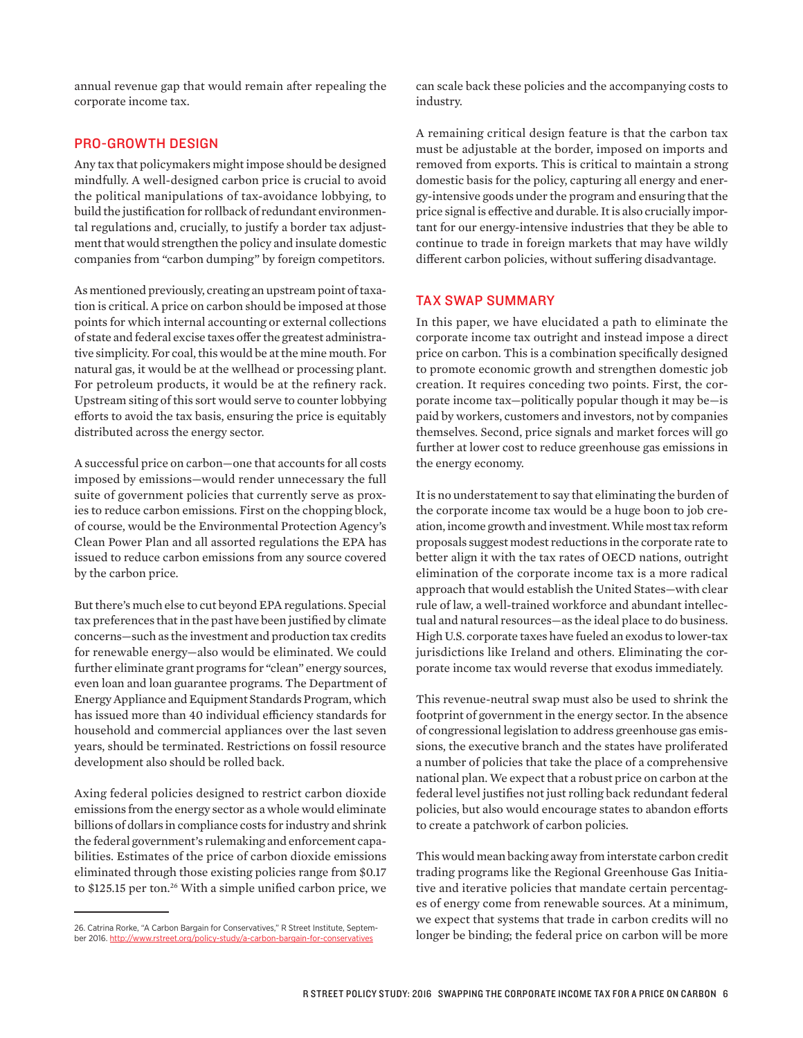annual revenue gap that would remain after repealing the corporate income tax.

## PRO-GROWTH DESIGN

Any tax that policymakers might impose should be designed mindfully. A well-designed carbon price is crucial to avoid the political manipulations of tax-avoidance lobbying, to build the justification for rollback of redundant environmental regulations and, crucially, to justify a border tax adjustment that would strengthen the policy and insulate domestic companies from "carbon dumping" by foreign competitors.

As mentioned previously, creating an upstream point of taxation is critical. A price on carbon should be imposed at those points for which internal accounting or external collections of state and federal excise taxes offer the greatest administrative simplicity. For coal, this would be at the mine mouth. For natural gas, it would be at the wellhead or processing plant. For petroleum products, it would be at the refinery rack. Upstream siting of this sort would serve to counter lobbying efforts to avoid the tax basis, ensuring the price is equitably distributed across the energy sector.

A successful price on carbon—one that accounts for all costs imposed by emissions—would render unnecessary the full suite of government policies that currently serve as proxies to reduce carbon emissions. First on the chopping block, of course, would be the Environmental Protection Agency's Clean Power Plan and all assorted regulations the EPA has issued to reduce carbon emissions from any source covered by the carbon price.

But there's much else to cut beyond EPA regulations. Special tax preferences that in the past have been justified by climate concerns—such as the investment and production tax credits for renewable energy—also would be eliminated. We could further eliminate grant programs for "clean" energy sources, even loan and loan guarantee programs. The Department of Energy Appliance and Equipment Standards Program, which has issued more than 40 individual efficiency standards for household and commercial appliances over the last seven years, should be terminated. Restrictions on fossil resource development also should be rolled back.

Axing federal policies designed to restrict carbon dioxide emissions from the energy sector as a whole would eliminate billions of dollars in compliance costs for industry and shrink the federal government's rulemaking and enforcement capabilities. Estimates of the price of carbon dioxide emissions eliminated through those existing policies range from \$0.17 to \$125.15 per ton.<sup>26</sup> With a simple unified carbon price, we

can scale back these policies and the accompanying costs to industry.

A remaining critical design feature is that the carbon tax must be adjustable at the border, imposed on imports and removed from exports. This is critical to maintain a strong domestic basis for the policy, capturing all energy and energy-intensive goods under the program and ensuring that the price signal is effective and durable. It is also crucially important for our energy-intensive industries that they be able to continue to trade in foreign markets that may have wildly different carbon policies, without suffering disadvantage.

### TAX SWAP SUMMARY

In this paper, we have elucidated a path to eliminate the corporate income tax outright and instead impose a direct price on carbon. This is a combination specifically designed to promote economic growth and strengthen domestic job creation. It requires conceding two points. First, the corporate income tax—politically popular though it may be—is paid by workers, customers and investors, not by companies themselves. Second, price signals and market forces will go further at lower cost to reduce greenhouse gas emissions in the energy economy.

It is no understatement to say that eliminating the burden of the corporate income tax would be a huge boon to job creation, income growth and investment. While most tax reform proposals suggest modest reductions in the corporate rate to better align it with the tax rates of OECD nations, outright elimination of the corporate income tax is a more radical approach that would establish the United States—with clear rule of law, a well-trained workforce and abundant intellectual and natural resources—as the ideal place to do business. High U.S. corporate taxes have fueled an exodus to lower-tax jurisdictions like Ireland and others. Eliminating the corporate income tax would reverse that exodus immediately.

This revenue-neutral swap must also be used to shrink the footprint of government in the energy sector. In the absence of congressional legislation to address greenhouse gas emissions, the executive branch and the states have proliferated a number of policies that take the place of a comprehensive national plan. We expect that a robust price on carbon at the federal level justifies not just rolling back redundant federal policies, but also would encourage states to abandon efforts to create a patchwork of carbon policies.

This would mean backing away from interstate carbon credit trading programs like the Regional Greenhouse Gas Initiative and iterative policies that mandate certain percentages of energy come from renewable sources. At a minimum, we expect that systems that trade in carbon credits will no longer be binding; the federal price on carbon will be more

<sup>26.</sup> Catrina Rorke, "A Carbon Bargain for Conservatives," R Street Institute, September 2016. <http://www.rstreet.org/policy-study/a-carbon-bargain-for-conservatives>